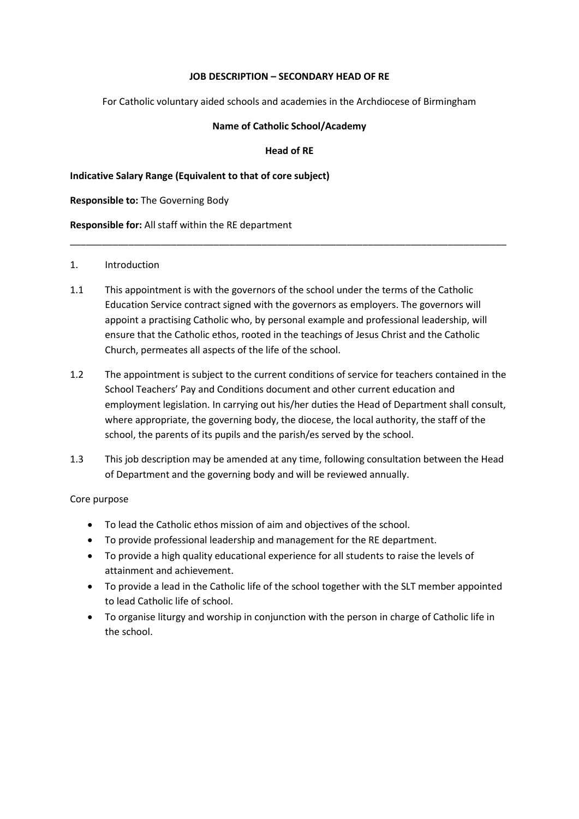### **JOB DESCRIPTION – SECONDARY HEAD OF RE**

For Catholic voluntary aided schools and academies in the Archdiocese of Birmingham

#### **Name of Catholic School/Academy**

### **Head of RE**

\_\_\_\_\_\_\_\_\_\_\_\_\_\_\_\_\_\_\_\_\_\_\_\_\_\_\_\_\_\_\_\_\_\_\_\_\_\_\_\_\_\_\_\_\_\_\_\_\_\_\_\_\_\_\_\_\_\_\_\_\_\_\_\_\_\_\_\_\_\_\_\_\_\_\_\_\_\_\_\_\_\_

**Indicative Salary Range (Equivalent to that of core subject)**

**Responsible to:** The Governing Body

**Responsible for:** All staff within the RE department

#### 1. Introduction

- 1.1 This appointment is with the governors of the school under the terms of the Catholic Education Service contract signed with the governors as employers. The governors will appoint a practising Catholic who, by personal example and professional leadership, will ensure that the Catholic ethos, rooted in the teachings of Jesus Christ and the Catholic Church, permeates all aspects of the life of the school.
- 1.2 The appointment is subject to the current conditions of service for teachers contained in the School Teachers' Pay and Conditions document and other current education and employment legislation. In carrying out his/her duties the Head of Department shall consult, where appropriate, the governing body, the diocese, the local authority, the staff of the school, the parents of its pupils and the parish/es served by the school.
- 1.3 This job description may be amended at any time, following consultation between the Head of Department and the governing body and will be reviewed annually.

### Core purpose

- To lead the Catholic ethos mission of aim and objectives of the school.
- To provide professional leadership and management for the RE department.
- To provide a high quality educational experience for all students to raise the levels of attainment and achievement.
- To provide a lead in the Catholic life of the school together with the SLT member appointed to lead Catholic life of school.
- To organise liturgy and worship in conjunction with the person in charge of Catholic life in the school.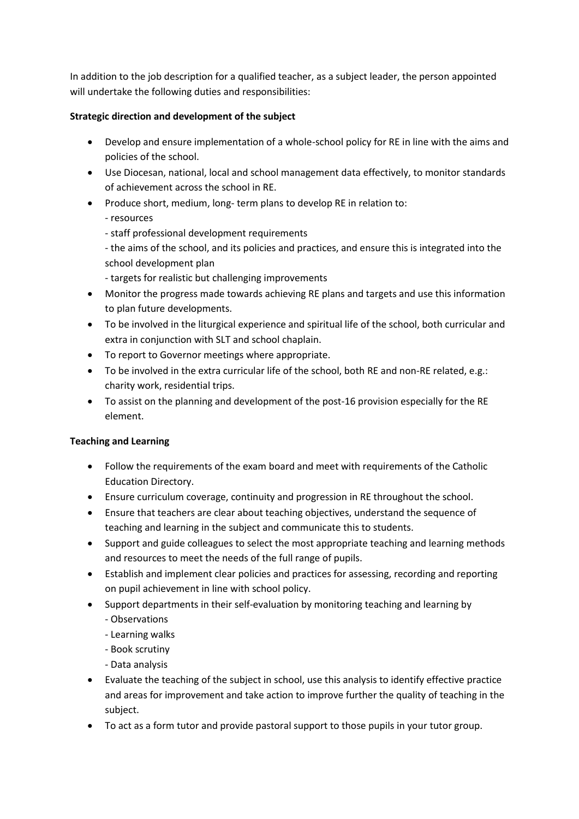In addition to the job description for a qualified teacher, as a subject leader, the person appointed will undertake the following duties and responsibilities:

# **Strategic direction and development of the subject**

- Develop and ensure implementation of a whole-school policy for RE in line with the aims and policies of the school.
- Use Diocesan, national, local and school management data effectively, to monitor standards of achievement across the school in RE.
- Produce short, medium, long- term plans to develop RE in relation to:
	- resources
	- staff professional development requirements
	- the aims of the school, and its policies and practices, and ensure this is integrated into the school development plan
	- targets for realistic but challenging improvements
- Monitor the progress made towards achieving RE plans and targets and use this information to plan future developments.
- To be involved in the liturgical experience and spiritual life of the school, both curricular and extra in conjunction with SLT and school chaplain.
- To report to Governor meetings where appropriate.
- To be involved in the extra curricular life of the school, both RE and non-RE related, e.g.: charity work, residential trips.
- To assist on the planning and development of the post-16 provision especially for the RE element.

# **Teaching and Learning**

- Follow the requirements of the exam board and meet with requirements of the Catholic Education Directory.
- Ensure curriculum coverage, continuity and progression in RE throughout the school.
- Ensure that teachers are clear about teaching objectives, understand the sequence of teaching and learning in the subject and communicate this to students.
- Support and guide colleagues to select the most appropriate teaching and learning methods and resources to meet the needs of the full range of pupils.
- Establish and implement clear policies and practices for assessing, recording and reporting on pupil achievement in line with school policy.
- Support departments in their self-evaluation by monitoring teaching and learning by - Observations
	- Learning walks
	- Book scrutiny
	- Data analysis
- Evaluate the teaching of the subject in school, use this analysis to identify effective practice and areas for improvement and take action to improve further the quality of teaching in the subject.
- To act as a form tutor and provide pastoral support to those pupils in your tutor group.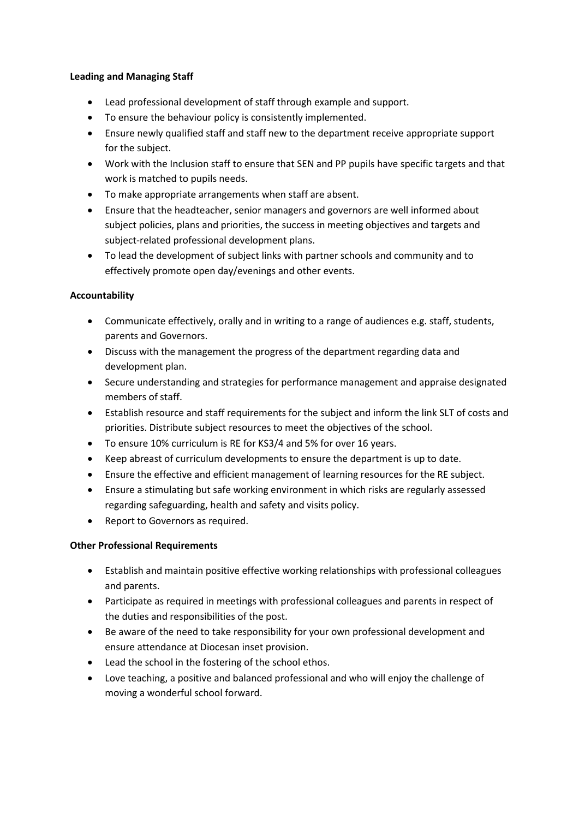### **Leading and Managing Staff**

- Lead professional development of staff through example and support.
- To ensure the behaviour policy is consistently implemented.
- Ensure newly qualified staff and staff new to the department receive appropriate support for the subject.
- Work with the Inclusion staff to ensure that SEN and PP pupils have specific targets and that work is matched to pupils needs.
- To make appropriate arrangements when staff are absent.
- Ensure that the headteacher, senior managers and governors are well informed about subject policies, plans and priorities, the success in meeting objectives and targets and subject-related professional development plans.
- To lead the development of subject links with partner schools and community and to effectively promote open day/evenings and other events.

## **Accountability**

- Communicate effectively, orally and in writing to a range of audiences e.g. staff, students, parents and Governors.
- Discuss with the management the progress of the department regarding data and development plan.
- Secure understanding and strategies for performance management and appraise designated members of staff.
- Establish resource and staff requirements for the subject and inform the link SLT of costs and priorities. Distribute subject resources to meet the objectives of the school.
- To ensure 10% curriculum is RE for KS3/4 and 5% for over 16 years.
- Keep abreast of curriculum developments to ensure the department is up to date.
- Ensure the effective and efficient management of learning resources for the RE subject.
- Ensure a stimulating but safe working environment in which risks are regularly assessed regarding safeguarding, health and safety and visits policy.
- Report to Governors as required.

## **Other Professional Requirements**

- Establish and maintain positive effective working relationships with professional colleagues and parents.
- Participate as required in meetings with professional colleagues and parents in respect of the duties and responsibilities of the post.
- Be aware of the need to take responsibility for your own professional development and ensure attendance at Diocesan inset provision.
- Lead the school in the fostering of the school ethos.
- Love teaching, a positive and balanced professional and who will enjoy the challenge of moving a wonderful school forward.